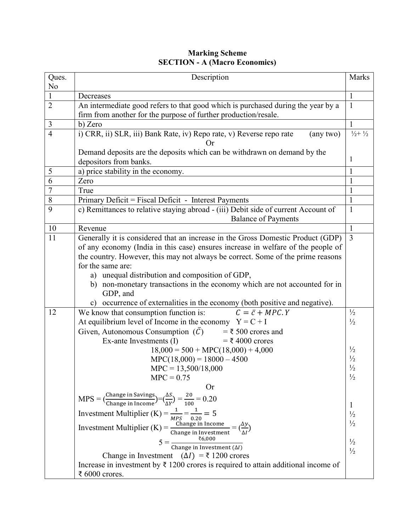| <b>Marking Scheme</b>                |
|--------------------------------------|
| <b>SECTION - A (Macro Economics)</b> |

| Ques.          | Description                                                                                                                                    | Marks                          |  |  |  |
|----------------|------------------------------------------------------------------------------------------------------------------------------------------------|--------------------------------|--|--|--|
| No             |                                                                                                                                                |                                |  |  |  |
| $\mathbf{1}$   | $\mathbf{1}$<br>Decreases                                                                                                                      |                                |  |  |  |
| $\overline{2}$ | An intermediate good refers to that good which is purchased during the year by a<br>$\mathbf{1}$                                               |                                |  |  |  |
|                | firm from another for the purpose of further production/resale.                                                                                |                                |  |  |  |
| 3              | b) Zero                                                                                                                                        |                                |  |  |  |
| $\overline{4}$ | i) CRR, ii) SLR, iii) Bank Rate, iv) Repo rate, v) Reverse repo rate<br>(any two)<br>Оr                                                        | $\frac{1}{2} + \frac{1}{2}$    |  |  |  |
|                | Demand deposits are the deposits which can be withdrawn on demand by the                                                                       |                                |  |  |  |
|                | depositors from banks.                                                                                                                         | 1                              |  |  |  |
| 5              | a) price stability in the economy.                                                                                                             | $\mathbf{1}$                   |  |  |  |
| 6              | Zero                                                                                                                                           | 1                              |  |  |  |
| $\overline{7}$ | True                                                                                                                                           | $\mathbf{1}$                   |  |  |  |
| $8\,$          | Primary Deficit = Fiscal Deficit - Interest Payments                                                                                           | $\mathbf{1}$                   |  |  |  |
| 9              | c) Remittances to relative staying abroad - (iii) Debit side of current Account of                                                             | $\mathbf{1}$                   |  |  |  |
|                | <b>Balance of Payments</b>                                                                                                                     |                                |  |  |  |
| 10             | Revenue                                                                                                                                        | 1                              |  |  |  |
| 11             | Generally it is considered that an increase in the Gross Domestic Product (GDP)                                                                | $\overline{3}$                 |  |  |  |
|                | of any economy (India in this case) ensures increase in welfare of the people of                                                               |                                |  |  |  |
|                | the country. However, this may not always be correct. Some of the prime reasons                                                                |                                |  |  |  |
|                | for the same are:                                                                                                                              |                                |  |  |  |
|                | a) unequal distribution and composition of GDP,                                                                                                |                                |  |  |  |
|                | non-monetary transactions in the economy which are not accounted for in<br>b)                                                                  |                                |  |  |  |
|                | GDP, and                                                                                                                                       |                                |  |  |  |
|                | c) occurrence of externalities in the economy (both positive and negative).                                                                    |                                |  |  |  |
| 12             | We know that consumption function is:<br>$C = \overline{c} + MPC. Y$                                                                           | $\frac{1}{2}$                  |  |  |  |
|                | At equilibrium level of Income in the economy $Y = C + I$                                                                                      | $\frac{1}{2}$                  |  |  |  |
|                | Given, Autonomous Consumption $(\bar{C})$ = ₹ 500 crores and                                                                                   |                                |  |  |  |
|                | Ex-ante Investments (I)<br>$=$ ₹ 4000 crores                                                                                                   |                                |  |  |  |
|                | $18,000 = 500 + \text{MPC}(18,000) + 4,000$                                                                                                    | $\frac{1}{2}$                  |  |  |  |
|                | $MPC(18,000) = 18000 - 4500$                                                                                                                   | $\frac{1}{2}$                  |  |  |  |
|                | $MPC = 13,500/18,000$                                                                                                                          | $\frac{1}{2}$                  |  |  |  |
|                | $MPC = 0.75$                                                                                                                                   | $\frac{1}{2}$                  |  |  |  |
|                | <b>Or</b>                                                                                                                                      |                                |  |  |  |
|                | MPS = $\left(\frac{\text{Change in Savings}}{\text{Change in Income}}\right) = \left(\frac{\Delta S}{\Delta Y}\right) = \frac{20}{100} = 0.20$ | $\mathbf{1}$                   |  |  |  |
|                | Investment Multiplier (K) = $\frac{1}{MPS} = \frac{1}{0.20} = 5$                                                                               | $\frac{1}{2}$                  |  |  |  |
|                | Investment Multiplier (K) = $\frac{\text{Change in Income}}{\text{Change in Investment}} = (\frac{\Delta y}{\Delta l})$                        | $\frac{1}{2}$                  |  |  |  |
|                |                                                                                                                                                |                                |  |  |  |
|                | $5 = \frac{1}{\text{Change in Investment}(\Delta l)}$                                                                                          | $\frac{1}{2}$<br>$\frac{1}{2}$ |  |  |  |
|                | Change in Investment ( $\Delta I$ ) = ₹ 1200 crores                                                                                            |                                |  |  |  |
|                | Increase in investment by $\bar{\tau}$ 1200 crores is required to attain additional income of                                                  |                                |  |  |  |
|                | ₹ 6000 crores.                                                                                                                                 |                                |  |  |  |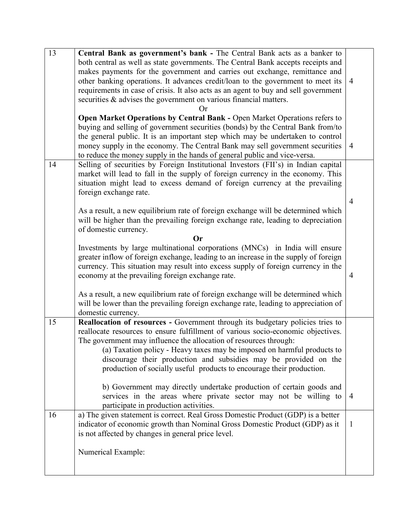| 13 | Central Bank as government's bank - The Central Bank acts as a banker to            |                |
|----|-------------------------------------------------------------------------------------|----------------|
|    | both central as well as state governments. The Central Bank accepts receipts and    |                |
|    | makes payments for the government and carries out exchange, remittance and          |                |
|    | other banking operations. It advances credit/loan to the government to meet its     | $\overline{4}$ |
|    | requirements in case of crisis. It also acts as an agent to buy and sell government |                |
|    | securities & advises the government on various financial matters.                   |                |
|    | Or                                                                                  |                |
|    | Open Market Operations by Central Bank - Open Market Operations refers to           |                |
|    | buying and selling of government securities (bonds) by the Central Bank from/to     |                |
|    | the general public. It is an important step which may be undertaken to control      |                |
|    | money supply in the economy. The Central Bank may sell government securities        | 4              |
|    |                                                                                     |                |
|    | to reduce the money supply in the hands of general public and vice-versa.           |                |
| 14 | Selling of securities by Foreign Institutional Investors (FII's) in Indian capital  |                |
|    | market will lead to fall in the supply of foreign currency in the economy. This     |                |
|    | situation might lead to excess demand of foreign currency at the prevailing         |                |
|    | foreign exchange rate.                                                              |                |
|    |                                                                                     | 4              |
|    | As a result, a new equilibrium rate of foreign exchange will be determined which    |                |
|    | will be higher than the prevailing foreign exchange rate, leading to depreciation   |                |
|    | of domestic currency.                                                               |                |
|    | <b>Or</b>                                                                           |                |
|    | Investments by large multinational corporations (MNCs) in India will ensure         |                |
|    | greater inflow of foreign exchange, leading to an increase in the supply of foreign |                |
|    | currency. This situation may result into excess supply of foreign currency in the   |                |
|    | economy at the prevailing foreign exchange rate.                                    | $\overline{4}$ |
|    |                                                                                     |                |
|    | As a result, a new equilibrium rate of foreign exchange will be determined which    |                |
|    | will be lower than the prevailing foreign exchange rate, leading to appreciation of |                |
|    | domestic currency.                                                                  |                |
| 15 | Reallocation of resources - Government through its budgetary policies tries to      |                |
|    | reallocate resources to ensure fulfillment of various socio-economic objectives.    |                |
|    | The government may influence the allocation of resources through:                   |                |
|    | (a) Taxation policy - Heavy taxes may be imposed on harmful products to             |                |
|    | discourage their production and subsidies may be provided on the                    |                |
|    | production of socially useful products to encourage their production.               |                |
|    |                                                                                     |                |
|    | b) Government may directly undertake production of certain goods and                |                |
|    | services in the areas where private sector may not be willing to                    | $\overline{4}$ |
|    | participate in production activities.                                               |                |
| 16 | a) The given statement is correct. Real Gross Domestic Product (GDP) is a better    |                |
|    | indicator of economic growth than Nominal Gross Domestic Product (GDP) as it        | $\mathbf{1}$   |
|    | is not affected by changes in general price level.                                  |                |
|    |                                                                                     |                |
|    | Numerical Example:                                                                  |                |
|    |                                                                                     |                |
|    |                                                                                     |                |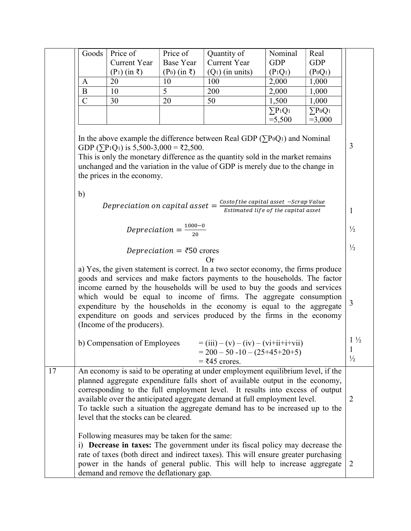|    | Goods                                                                                                                                                                                                                                                                                                                                                                                                                                                                                                  | Price of                                                                                 | Price of                              | Quantity of                                                                                                                                                                                                                                                                                                                                                                                                     | Nominal                             | Real                             |                                      |
|----|--------------------------------------------------------------------------------------------------------------------------------------------------------------------------------------------------------------------------------------------------------------------------------------------------------------------------------------------------------------------------------------------------------------------------------------------------------------------------------------------------------|------------------------------------------------------------------------------------------|---------------------------------------|-----------------------------------------------------------------------------------------------------------------------------------------------------------------------------------------------------------------------------------------------------------------------------------------------------------------------------------------------------------------------------------------------------------------|-------------------------------------|----------------------------------|--------------------------------------|
|    |                                                                                                                                                                                                                                                                                                                                                                                                                                                                                                        | <b>Current Year</b>                                                                      | <b>Base Year</b>                      | <b>Current Year</b>                                                                                                                                                                                                                                                                                                                                                                                             | <b>GDP</b>                          | <b>GDP</b>                       |                                      |
|    |                                                                                                                                                                                                                                                                                                                                                                                                                                                                                                        | $(P_1)$ (in ₹)                                                                           | $(P0)$ (in ₹)                         | $(Q1)$ (in units)                                                                                                                                                                                                                                                                                                                                                                                               | $(P_1Q_1)$                          | (P <sub>0</sub> Q <sub>1</sub> ) |                                      |
|    | A                                                                                                                                                                                                                                                                                                                                                                                                                                                                                                      | 20                                                                                       | 10                                    | 100                                                                                                                                                                                                                                                                                                                                                                                                             | 2,000                               | 1,000                            |                                      |
|    | $\bf{B}$                                                                                                                                                                                                                                                                                                                                                                                                                                                                                               | 10                                                                                       | 5                                     | 200                                                                                                                                                                                                                                                                                                                                                                                                             | 2,000                               | 1,000                            |                                      |
|    | $\mathcal{C}$                                                                                                                                                                                                                                                                                                                                                                                                                                                                                          | 30                                                                                       | 20                                    | 50                                                                                                                                                                                                                                                                                                                                                                                                              | 1,500                               | 1,000                            |                                      |
|    |                                                                                                                                                                                                                                                                                                                                                                                                                                                                                                        |                                                                                          |                                       |                                                                                                                                                                                                                                                                                                                                                                                                                 | $\Sigma P_1 Q_1$                    | $\Sigma P_0Q_1$                  |                                      |
|    |                                                                                                                                                                                                                                                                                                                                                                                                                                                                                                        |                                                                                          |                                       |                                                                                                                                                                                                                                                                                                                                                                                                                 | $= 5,500$                           | $=3,000$                         |                                      |
|    |                                                                                                                                                                                                                                                                                                                                                                                                                                                                                                        | GDP ( $\Sigma P_1Q_1$ ) is 5,500-3,000 = ₹2,500.<br>the prices in the economy.           |                                       | In the above example the difference between Real GDP ( $\sum P_0Q_1$ ) and Nominal<br>This is only the monetary difference as the quantity sold in the market remains<br>unchanged and the variation in the value of GDP is merely due to the change in                                                                                                                                                         |                                     |                                  | 3                                    |
|    | b)                                                                                                                                                                                                                                                                                                                                                                                                                                                                                                     |                                                                                          |                                       |                                                                                                                                                                                                                                                                                                                                                                                                                 |                                     |                                  |                                      |
|    |                                                                                                                                                                                                                                                                                                                                                                                                                                                                                                        |                                                                                          |                                       |                                                                                                                                                                                                                                                                                                                                                                                                                 |                                     |                                  |                                      |
|    |                                                                                                                                                                                                                                                                                                                                                                                                                                                                                                        |                                                                                          |                                       | Depreciation on capital asset = $\frac{Cost of the capital asset -Scrap Value}{F}$                                                                                                                                                                                                                                                                                                                              | Estimated life of the capital asset |                                  | $\mathbf{1}$                         |
|    |                                                                                                                                                                                                                                                                                                                                                                                                                                                                                                        |                                                                                          |                                       |                                                                                                                                                                                                                                                                                                                                                                                                                 |                                     |                                  |                                      |
|    |                                                                                                                                                                                                                                                                                                                                                                                                                                                                                                        |                                                                                          | Depreciation = $\frac{1000-0}{20}$    |                                                                                                                                                                                                                                                                                                                                                                                                                 |                                     |                                  | $\frac{1}{2}$                        |
|    |                                                                                                                                                                                                                                                                                                                                                                                                                                                                                                        |                                                                                          |                                       |                                                                                                                                                                                                                                                                                                                                                                                                                 |                                     |                                  |                                      |
|    |                                                                                                                                                                                                                                                                                                                                                                                                                                                                                                        |                                                                                          | Depreciation = $\overline{50}$ crores |                                                                                                                                                                                                                                                                                                                                                                                                                 |                                     |                                  | $\frac{1}{2}$                        |
|    |                                                                                                                                                                                                                                                                                                                                                                                                                                                                                                        |                                                                                          |                                       | Or                                                                                                                                                                                                                                                                                                                                                                                                              |                                     |                                  |                                      |
|    | a) Yes, the given statement is correct. In a two sector economy, the firms produce<br>goods and services and make factors payments to the households. The factor<br>income earned by the households will be used to buy the goods and services<br>which would be equal to income of firms. The aggregate consumption<br>expenditure by the households in the economy is equal to the aggregate<br>expenditure on goods and services produced by the firms in the economy<br>(Income of the producers). |                                                                                          |                                       |                                                                                                                                                                                                                                                                                                                                                                                                                 | $\mathfrak{Z}$                      |                                  |                                      |
|    |                                                                                                                                                                                                                                                                                                                                                                                                                                                                                                        | b) Compensation of Employees                                                             |                                       | $=$ (iii) – (v) – (iv) – (vi+ii+i+vii)<br>$= 200 - 50 - 10 - (25 + 45 + 20 + 5)$<br>$=$ ₹45 crores.                                                                                                                                                                                                                                                                                                             |                                     |                                  | $1\frac{1}{2}$<br>1<br>$\frac{1}{2}$ |
| 17 |                                                                                                                                                                                                                                                                                                                                                                                                                                                                                                        | level that the stocks can be cleared.                                                    |                                       | An economy is said to be operating at under employment equilibrium level, if the<br>planned aggregate expenditure falls short of available output in the economy,<br>corresponding to the full employment level. It results into excess of output<br>available over the anticipated aggregate demand at full employment level.<br>To tackle such a situation the aggregate demand has to be increased up to the |                                     |                                  | 2                                    |
|    |                                                                                                                                                                                                                                                                                                                                                                                                                                                                                                        | Following measures may be taken for the same:<br>demand and remove the deflationary gap. |                                       | i) <b>Decrease in taxes:</b> The government under its fiscal policy may decrease the<br>rate of taxes (both direct and indirect taxes). This will ensure greater purchasing<br>power in the hands of general public. This will help to increase aggregate                                                                                                                                                       |                                     |                                  | 2                                    |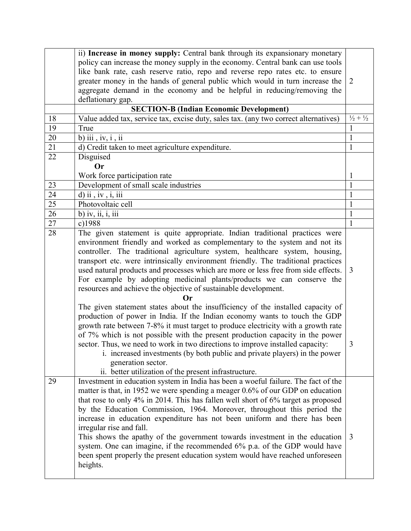|    | ii) Increase in money supply: Central bank through its expansionary monetary                                                                                                                                                                                                                                                                                                                                                                                                                                                                                                                                                                                                                            |                             |
|----|---------------------------------------------------------------------------------------------------------------------------------------------------------------------------------------------------------------------------------------------------------------------------------------------------------------------------------------------------------------------------------------------------------------------------------------------------------------------------------------------------------------------------------------------------------------------------------------------------------------------------------------------------------------------------------------------------------|-----------------------------|
|    | policy can increase the money supply in the economy. Central bank can use tools                                                                                                                                                                                                                                                                                                                                                                                                                                                                                                                                                                                                                         |                             |
|    | like bank rate, cash reserve ratio, repo and reverse repo rates etc. to ensure                                                                                                                                                                                                                                                                                                                                                                                                                                                                                                                                                                                                                          |                             |
|    | greater money in the hands of general public which would in turn increase the                                                                                                                                                                                                                                                                                                                                                                                                                                                                                                                                                                                                                           | 2                           |
|    | aggregate demand in the economy and be helpful in reducing/removing the                                                                                                                                                                                                                                                                                                                                                                                                                                                                                                                                                                                                                                 |                             |
|    | deflationary gap.                                                                                                                                                                                                                                                                                                                                                                                                                                                                                                                                                                                                                                                                                       |                             |
|    | <b>SECTION-B (Indian Economic Development)</b>                                                                                                                                                                                                                                                                                                                                                                                                                                                                                                                                                                                                                                                          |                             |
| 18 | Value added tax, service tax, excise duty, sales tax. (any two correct alternatives)                                                                                                                                                                                                                                                                                                                                                                                                                                                                                                                                                                                                                    | $\frac{1}{2} + \frac{1}{2}$ |
| 19 | True                                                                                                                                                                                                                                                                                                                                                                                                                                                                                                                                                                                                                                                                                                    | 1                           |
| 20 | b) iii, $iv$ , $i$ , $ii$                                                                                                                                                                                                                                                                                                                                                                                                                                                                                                                                                                                                                                                                               | 1                           |
| 21 | d) Credit taken to meet agriculture expenditure.                                                                                                                                                                                                                                                                                                                                                                                                                                                                                                                                                                                                                                                        | $\mathbf{1}$                |
| 22 | Disguised                                                                                                                                                                                                                                                                                                                                                                                                                                                                                                                                                                                                                                                                                               |                             |
|    | <b>Or</b>                                                                                                                                                                                                                                                                                                                                                                                                                                                                                                                                                                                                                                                                                               |                             |
|    | Work force participation rate                                                                                                                                                                                                                                                                                                                                                                                                                                                                                                                                                                                                                                                                           | 1                           |
| 23 | Development of small scale industries                                                                                                                                                                                                                                                                                                                                                                                                                                                                                                                                                                                                                                                                   | $\mathbf{1}$                |
| 24 | $d)$ ii, iv, i, iii                                                                                                                                                                                                                                                                                                                                                                                                                                                                                                                                                                                                                                                                                     | 1                           |
| 25 | Photovoltaic cell                                                                                                                                                                                                                                                                                                                                                                                                                                                                                                                                                                                                                                                                                       | $\mathbf{1}$                |
| 26 | b) iv, ii, i, iii                                                                                                                                                                                                                                                                                                                                                                                                                                                                                                                                                                                                                                                                                       | $\mathbf{1}$                |
| 27 | c)1988                                                                                                                                                                                                                                                                                                                                                                                                                                                                                                                                                                                                                                                                                                  | $\mathbf{1}$                |
| 28 | The given statement is quite appropriate. Indian traditional practices were                                                                                                                                                                                                                                                                                                                                                                                                                                                                                                                                                                                                                             |                             |
|    | environment friendly and worked as complementary to the system and not its<br>controller. The traditional agriculture system, healthcare system, housing,<br>transport etc. were intrinsically environment friendly. The traditional practices<br>used natural products and processes which are more or less free from side effects.                                                                                                                                                                                                                                                                                                                                                                    | 3                           |
|    | For example by adopting medicinal plants/products we can conserve the<br>resources and achieve the objective of sustainable development.                                                                                                                                                                                                                                                                                                                                                                                                                                                                                                                                                                |                             |
|    | The given statement states about the insufficiency of the installed capacity of<br>production of power in India. If the Indian economy wants to touch the GDP<br>growth rate between 7-8% it must target to produce electricity with a growth rate<br>of 7% which is not possible with the present production capacity in the power<br>sector. Thus, we need to work in two directions to improve installed capacity:<br>i. increased investments (by both public and private players) in the power<br>generation sector.<br>ii. better utilization of the present infrastructure.                                                                                                                      | 3                           |
| 29 | Investment in education system in India has been a woeful failure. The fact of the<br>matter is that, in 1952 we were spending a meager 0.6% of our GDP on education<br>that rose to only 4% in 2014. This has fallen well short of 6% target as proposed<br>by the Education Commission, 1964. Moreover, throughout this period the<br>increase in education expenditure has not been uniform and there has been<br>irregular rise and fall.<br>This shows the apathy of the government towards investment in the education<br>system. One can imagine, if the recommended 6% p.a. of the GDP would have<br>been spent properly the present education system would have reached unforeseen<br>heights. | 3                           |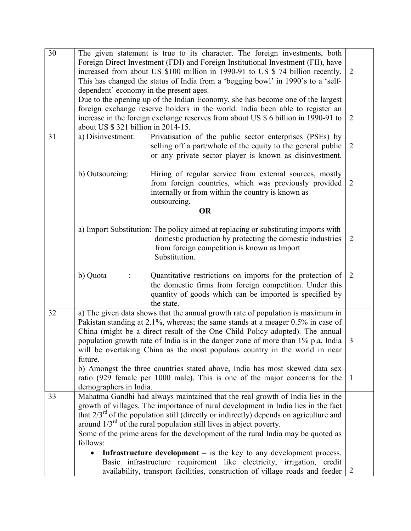| 30 | The given statement is true to its character. The foreign investments, both                      |                |  |  |
|----|--------------------------------------------------------------------------------------------------|----------------|--|--|
|    | Foreign Direct Investment (FDI) and Foreign Institutional Investment (FII), have                 |                |  |  |
|    | increased from about US \$100 million in 1990-91 to US \$ 74 billion recently.<br>$\overline{2}$ |                |  |  |
|    | This has changed the status of India from a 'begging bowl' in 1990's to a 'self-                 |                |  |  |
|    | dependent' economy in the present ages.                                                          |                |  |  |
|    | Due to the opening up of the Indian Economy, she has become one of the largest                   |                |  |  |
|    | foreign exchange reserve holders in the world. India been able to register an                    |                |  |  |
|    | increase in the foreign exchange reserves from about US \$ 6 billion in 1990-91 to<br>2          |                |  |  |
|    | about US \$ 321 billion in 2014-15.                                                              |                |  |  |
| 31 | Privatisation of the public sector enterprises (PSEs) by<br>a) Disinvestment:                    |                |  |  |
|    | selling off a part/whole of the equity to the general public                                     | $\overline{2}$ |  |  |
|    | or any private sector player is known as disinvestment.                                          |                |  |  |
|    |                                                                                                  |                |  |  |
|    | b) Outsourcing:<br>Hiring of regular service from external sources, mostly                       |                |  |  |
|    | from foreign countries, which was previously provided                                            | 2              |  |  |
|    | internally or from within the country is known as                                                |                |  |  |
|    | outsourcing.                                                                                     |                |  |  |
|    | <b>OR</b>                                                                                        |                |  |  |
|    |                                                                                                  |                |  |  |
|    | a) Import Substitution: The policy aimed at replacing or substituting imports with               |                |  |  |
|    | domestic production by protecting the domestic industries                                        | $\overline{2}$ |  |  |
|    | from foreign competition is known as Import                                                      |                |  |  |
|    | Substitution.                                                                                    |                |  |  |
|    |                                                                                                  |                |  |  |
|    | b) Quota<br>Quantitative restrictions on imports for the protection of                           | 2              |  |  |
|    | the domestic firms from foreign competition. Under this                                          |                |  |  |
|    | quantity of goods which can be imported is specified by                                          |                |  |  |
|    | the state.                                                                                       |                |  |  |
| 32 | a) The given data shows that the annual growth rate of population is maximum in                  |                |  |  |
|    | Pakistan standing at 2.1%, whereas; the same stands at a meager 0.5% in case of                  |                |  |  |
|    | China (might be a direct result of the One Child Policy adopted). The annual                     |                |  |  |
|    | population growth rate of India is in the danger zone of more than 1% p.a. India                 | 3              |  |  |
|    | will be overtaking China as the most populous country in the world in near                       |                |  |  |
|    | future.                                                                                          |                |  |  |
|    | b) Amongst the three countries stated above, India has most skewed data sex                      |                |  |  |
|    | ratio (929 female per 1000 male). This is one of the major concerns for the                      | -1             |  |  |
|    | demographers in India.                                                                           |                |  |  |
| 33 | Mahatma Gandhi had always maintained that the real growth of India lies in the                   |                |  |  |
|    | growth of villages. The importance of rural development in India lies in the fact                |                |  |  |
|    | that $2/3^{rd}$ of the population still (directly or indirectly) depends on agriculture and      |                |  |  |
|    | around $1/3^{rd}$ of the rural population still lives in abject poverty.                         |                |  |  |
|    | Some of the prime areas for the development of the rural India may be quoted as                  |                |  |  |
|    | follows:                                                                                         |                |  |  |
|    | <b>Infrastructure development</b> $-$ is the key to any development process.<br>$\bullet$        |                |  |  |
|    |                                                                                                  |                |  |  |
|    | Basic infrastructure requirement like electricity, irrigation, credit                            |                |  |  |
|    | availability, transport facilities, construction of village roads and feeder                     | 2              |  |  |